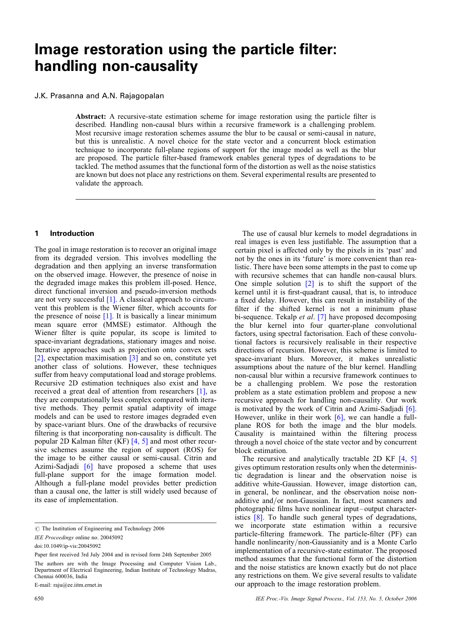# Image restoration using the particle filter: handling non-causality

## J.K. Prasanna and A.N. Rajagopalan

Abstract: A recursive-state estimation scheme for image restoration using the particle filter is described. Handling non-causal blurs within a recursive framework is a challenging problem. Most recursive image restoration schemes assume the blur to be causal or semi-causal in nature, but this is unrealistic. A novel choice for the state vector and a concurrent block estimation technique to incorporate full-plane regions of support for the image model as well as the blur are proposed. The particle filter-based framework enables general types of degradations to be tackled. The method assumes that the functional form of the distortion as well as the noise statistics are known but does not place any restrictions on them. Several experimental results are presented to validate the approach.

## 1 Introduction

The goal in image restoration is to recover an original image from its degraded version. This involves modelling the degradation and then applying an inverse transformation on the observed image. However, the presence of noise in the degraded image makes this problem ill-posed. Hence, direct functional inversion and pseudo-inversion methods are not very successful [1]. A classical approach to circumvent this problem is the Wiener filter, which accounts for the presence of noise  $[1]$ . It is basically a linear minimum mean square error (MMSE) estimator. Although the Wiener filter is quite popular, its scope is limited to space-invariant degradations, stationary images and noise. Iterative approaches such as projection onto convex sets [2], expectation maximisation [3] and so on, constitute yet another class of solutions. However, these techniques suffer from heavy computational load and storage problems. Recursive 2D estimation techniques also exist and have received a great deal of attention from researchers [1], as they are computationally less complex compared with iterative methods. They permit spatial adaptivity of image models and can be used to restore images degraded even by space-variant blurs. One of the drawbacks of recursive filtering is that incorporating non-causality is difficult. The popular 2D Kalman filter (KF) [4, 5] and most other recursive schemes assume the region of support (ROS) for the image to be either causal or semi-causal. Citrin and Azimi-Sadjadi [6] have proposed a scheme that uses full-plane support for the image formation model. Although a full-plane model provides better prediction than a causal one, the latter is still widely used because of its ease of implementation.

The use of causal blur kernels to model degradations in real images is even less justifiable. The assumption that a certain pixel is affected only by the pixels in its 'past' and not by the ones in its 'future' is more convenient than realistic. There have been some attempts in the past to come up with recursive schemes that can handle non-causal blurs. One simple solution  $\lceil 2 \rceil$  is to shift the support of the kernel until it is first-quadrant causal, that is, to introduce a fixed delay. However, this can result in instability of the filter if the shifted kernel is not a minimum phase bi-sequence. Tekalp et al. [7] have proposed decomposing the blur kernel into four quarter-plane convolutional factors, using spectral factorisation. Each of these convolutional factors is recursively realisable in their respective directions of recursion. However, this scheme is limited to space-invariant blurs. Moreover, it makes unrealistic assumptions about the nature of the blur kernel. Handling non-causal blur within a recursive framework continues to be a challenging problem. We pose the restoration problem as a state estimation problem and propose a new recursive approach for handling non-causality. Our work is motivated by the work of Citrin and Azimi-Sadjadi [6]. However, unlike in their work  $[6]$ , we can handle a fullplane ROS for both the image and the blur models. Causality is maintained within the filtering process through a novel choice of the state vector and by concurrent block estimation.

The recursive and analytically tractable 2D KF  $[4, 5]$ gives optimum restoration results only when the deterministic degradation is linear and the observation noise is additive white-Gaussian. However, image distortion can, in general, be nonlinear, and the observation noise nonadditive and/or non-Gaussian. In fact, most scanners and photographic films have nonlinear input – output characteristics [8]. To handle such general types of degradations, we incorporate state estimation within a recursive particle-filtering framework. The particle-filter (PF) can handle nonlinearity/non-Gaussianity and is a Monte Carlo implementation of a recursive-state estimator. The proposed method assumes that the functional form of the distortion and the noise statistics are known exactly but do not place any restrictions on them. We give several results to validate our approach to the image restoration problem.

 $\oslash$  The Institution of Engineering and Technology 2006

IEE Proceedings online no. 20045092

doi:10.1049/ip-vis:20045092

Paper first received 3rd July 2004 and in revised form 24th September 2005

The authors are with the Image Processing and Computer Vision Lab., Department of Electrical Engineering, Indian Institute of Technology Madras, Chennai 600036, India

E-mail: raju@ee.iitm.ernet.in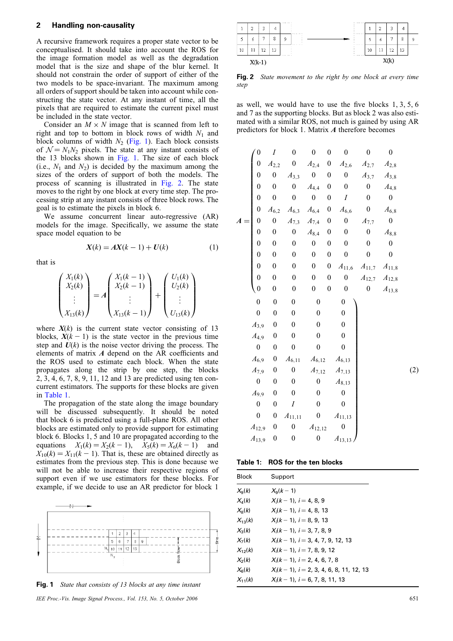#### 2 Handling non-causality

A recursive framework requires a proper state vector to be conceptualised. It should take into account the ROS for the image formation model as well as the degradation model that is the size and shape of the blur kernel. It should not constrain the order of support of either of the two models to be space-invariant. The maximum among all orders of support should be taken into account while constructing the state vector. At any instant of time, all the pixels that are required to estimate the current pixel must be included in the state vector.

Consider an  $M \times N$  image that is scanned from left to right and top to bottom in block rows of width  $N_1$  and block columns of width  $N_2$  (Fig. 1). Each block consists of  $N = N_1N_2$  pixels. The state at any instant consists of the 13 blocks shown in Fig. 1. The size of each block (i.e.,  $N_1$  and  $N_2$ ) is decided by the maximum among the sizes of the orders of support of both the models. The process of scanning is illustrated in Fig. 2. The state moves to the right by one block at every time step. The processing strip at any instant consists of three block rows. The goal is to estimate the pixels in block 6.

We assume concurrent linear auto-regressive (AR) models for the image. Specifically, we assume the state space model equation to be

$$
X(k) = AX(k-1) + U(k)
$$
 (1)

that is

$$
\begin{pmatrix} X_1(k) \\ X_2(k) \\ \vdots \\ X_{13}(k) \end{pmatrix} = A \begin{pmatrix} X_1(k-1) \\ X_2(k-1) \\ \vdots \\ X_{13}(k-1) \end{pmatrix} + \begin{pmatrix} U_1(k) \\ U_2(k) \\ \vdots \\ U_{13}(k) \end{pmatrix}
$$

where  $X(k)$  is the current state vector consisting of 13 blocks,  $X(k - 1)$  is the state vector in the previous time step and  $U(k)$  is the noise vector driving the process. The elements of matrix A depend on the AR coefficients and the ROS used to estimate each block. When the state propagates along the strip by one step, the blocks 2, 3, 4, 6, 7, 8, 9, 11, 12 and 13 are predicted using ten concurrent estimators. The supports for these blocks are given in Table 1.

The propagation of the state along the image boundary will be discussed subsequently. It should be noted that block 6 is predicted using a full-plane ROS. All other blocks are estimated only to provide support for estimating block 6. Blocks 1, 5 and 10 are propagated according to the equations  $X_1(k) = X_2(k - 1), X_5(k) = X_6(k - 1)$  and  $X_{10}(k) = X_{11}(k - 1)$ . That is, these are obtained directly as estimates from the previous step. This is done because we will not be able to increase their respective regions of support even if we use estimators for these blocks. For example, if we decide to use an AR predictor for block 1



Fig. 1 State that consists of 13 blocks at any time instant

IEE Proc.-Vis. Image Signal Process., Vol. 153, No. 5, October 2006 651



**Fig. 2** State movement to the right by one block at every time step

as well, we would have to use the five blocks 1, 3, 5, 6 and 7 as the supporting blocks. But as block 2 was also estimated with a similar ROS, not much is gained by using AR predictors for block 1. Matrix A therefore becomes

| $\boldsymbol{0}$    | $\cal I$         | $\overline{0}$   | $\boldsymbol{0}$    | $\boldsymbol{0}$ | $\boldsymbol{0}$     | $\boldsymbol{0}$    | $\boldsymbol{0}$    |
|---------------------|------------------|------------------|---------------------|------------------|----------------------|---------------------|---------------------|
| $\boldsymbol{0}$    | $A_{2,2}$        | $\boldsymbol{0}$ | $\mathcal{A}_{2,4}$ | $\boldsymbol{0}$ | $\mathcal{A}_{2,6}$  | $A_{2,7}$           | $\mathcal{A}_{2,8}$ |
| $\boldsymbol{0}$    | $\boldsymbol{0}$ | $A_{3,3}$        | $\boldsymbol{0}$    | $\boldsymbol{0}$ | $\boldsymbol{0}$     | $\mathcal{A}_{3,7}$ | $\mathcal{A}_{3,8}$ |
| $\boldsymbol{0}$    | $\boldsymbol{0}$ | $\boldsymbol{0}$ | $\mathcal{A}_{4,4}$ | $\boldsymbol{0}$ | $\boldsymbol{0}$     | $\boldsymbol{0}$    | $\mathcal{A}_{4,8}$ |
| $\boldsymbol{0}$    | $\boldsymbol{0}$ | $\overline{0}$   | $\boldsymbol{0}$    | $\boldsymbol{0}$ | I                    | $\boldsymbol{0}$    | $\boldsymbol{0}$    |
| $\overline{0}$      | $A_{6,2}$        | $A_{6,3}$        | $\mathcal{A}_{6,4}$ | $\boldsymbol{0}$ | $A_{6,6}$            | $\boldsymbol{0}$    | $\mathcal{A}_{6,8}$ |
| $\boldsymbol{0}$    | $\boldsymbol{0}$ | $A_{7,3}$        | $\mathcal{A}_{7,4}$ | $\boldsymbol{0}$ | $\boldsymbol{0}$     | $A_{7,7}$           | $\boldsymbol{0}$    |
| $\boldsymbol{0}$    | $\boldsymbol{0}$ | $\boldsymbol{0}$ | $\mathcal{A}_{8,4}$ | $\boldsymbol{0}$ | $\boldsymbol{0}$     | $\boldsymbol{0}$    | $\mathcal{A}_{8,8}$ |
| $\boldsymbol{0}$    | $\boldsymbol{0}$ | $\boldsymbol{0}$ | $\boldsymbol{0}$    | $\boldsymbol{0}$ | $\boldsymbol{0}$     | $\boldsymbol{0}$    | $\boldsymbol{0}$    |
| $\boldsymbol{0}$    | $\boldsymbol{0}$ | $\boldsymbol{0}$ | $\boldsymbol{0}$    | $\boldsymbol{0}$ | $\boldsymbol{0}$     | $\boldsymbol{0}$    | $\boldsymbol{0}$    |
| $\boldsymbol{0}$    | $\boldsymbol{0}$ | $\boldsymbol{0}$ | $\boldsymbol{0}$    | $\boldsymbol{0}$ | $\mathcal{A}_{11,6}$ | $A_{11,7}$          | $A_{11,8}$          |
| $\overline{0}$      | $\boldsymbol{0}$ | $\boldsymbol{0}$ | $\boldsymbol{0}$    | $\boldsymbol{0}$ | $\boldsymbol{0}$     | $A_{12,7}$          | $A_{12,8}$          |
| $\boldsymbol{0}$    | $\boldsymbol{0}$ | $\boldsymbol{0}$ | $\boldsymbol{0}$    | $\boldsymbol{0}$ | $\boldsymbol{0}$     | $\boldsymbol{0}$    | $A_{13,8}$          |
| $\boldsymbol{0}$    | $\overline{0}$   | $\boldsymbol{0}$ | $\boldsymbol{0}$    |                  | $\boldsymbol{0}$     |                     |                     |
| $\boldsymbol{0}$    | $\boldsymbol{0}$ | $\boldsymbol{0}$ | $\boldsymbol{0}$    |                  | $\boldsymbol{0}$     |                     |                     |
| $A_{3,9}$           | $\boldsymbol{0}$ | $\boldsymbol{0}$ | $\boldsymbol{0}$    |                  | $\boldsymbol{0}$     |                     |                     |
| $A_{4,9}$           | $\boldsymbol{0}$ | $\boldsymbol{0}$ | $\boldsymbol{0}$    |                  | $\boldsymbol{0}$     |                     |                     |
| $\boldsymbol{0}$    | $\boldsymbol{0}$ | $\boldsymbol{0}$ | $\boldsymbol{0}$    |                  | $\boldsymbol{0}$     |                     |                     |
| $\mathcal{A}_{6,9}$ | $\boldsymbol{0}$ | $A_{6,11}$       | $A_{6,12}$          |                  | $A_{6,13}$           |                     |                     |
| $A_{7,9}$           | $\boldsymbol{0}$ | $\boldsymbol{0}$ | $A_{7,12}$          |                  | $A_{7,13}$           |                     |                     |
| $\boldsymbol{0}$    | $\boldsymbol{0}$ | $\boldsymbol{0}$ | $\boldsymbol{0}$    |                  | $A_{8,13}$           |                     |                     |
| $A_{9,9}$           | $\boldsymbol{0}$ | $\boldsymbol{0}$ | $\boldsymbol{0}$    |                  | $\boldsymbol{0}$     |                     |                     |
| $\boldsymbol{0}$    | $\boldsymbol{0}$ | $\cal I$         | $\boldsymbol{0}$    |                  | $\boldsymbol{0}$     |                     |                     |
| $\boldsymbol{0}$    | $\boldsymbol{0}$ | $A_{11,11}$      | $\boldsymbol{0}$    |                  | $A_{11,13}$          |                     |                     |
| $A_{12,9}$          | $\boldsymbol{0}$ | $\boldsymbol{0}$ | $A_{12,12}$         |                  | $\boldsymbol{0}$     |                     |                     |
| $A_{13,9}$          | $\boldsymbol{0}$ | $\boldsymbol{0}$ | $\boldsymbol{0}$    |                  | $A_{13,13}$          |                     |                     |

Table 1: ROS for the ten blocks

| Block           | Support                                      |  |
|-----------------|----------------------------------------------|--|
| $X_{\alpha}(k)$ | $X_{\alpha}(k-1)$                            |  |
| $X_4(k)$        | $X_i(k-1), i=4,8,9$                          |  |
| $X_8(k)$        | $X_i(k-1)$ , $i=4$ , 8, 13                   |  |
| $X_{12}(k)$     | $X_i(k-1)$ , $i=8, 9, 13$                    |  |
| $X_3(k)$        | $X_i(k-1)$ , $i=3, 7, 8, 9$                  |  |
| $X_{7}(k)$      | $X_i(k-1), i = 3, 4, 7, 9, 12, 13$           |  |
| $X_{12}(k)$     | $X_i(k-1), i=7, 8, 9, 12$                    |  |
| $X_2(k)$        | $X_i(k-1), i = 2, 4, 6, 7, 8$                |  |
| $X_{\alpha}(k)$ | $X_i(k-1)$ , $i = 2, 3, 4, 6, 8, 11, 12, 13$ |  |
| $X_{11}(k)$     | $X_i(k-1)$ , $i = 6, 7, 8, 11, 13$           |  |

 $(2)$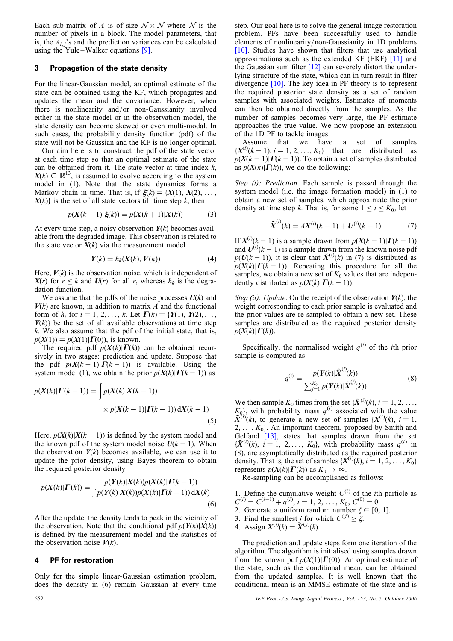Each sub-matrix of A is of size  $\mathcal{N} \times \mathcal{N}$  where N is the number of pixels in a block. The model parameters, that is, the  $A_i$  's and the prediction variances can be calculated using the Yule–Walker equations  $[9]$ .

## 3 Propagation of the state density

For the linear-Gaussian model, an optimal estimate of the state can be obtained using the KF, which propagates and updates the mean and the covariance. However, when there is nonlinearity and/or non-Gaussianity involved either in the state model or in the observation model, the state density can become skewed or even multi-modal. In such cases, the probability density function (pdf) of the state will not be Gaussian and the KF is no longer optimal.

Our aim here is to construct the pdf of the state vector at each time step so that an optimal estimate of the state can be obtained from it. The state vector at time index  $k$ ,  $X(k) \in \mathbb{R}^{13}$ , is assumed to evolve according to the system model in (1). Note that the state dynamics forms a Markov chain in time. That is, if  $\xi(k) = \{X(1), X(2), \ldots, X(n)\}$  $X(k)$  is the set of all state vectors till time step k, then

$$
p(X(k+1)|\xi(k)) = p(X(k+1)|X(k))
$$
 (3)

At every time step, a noisy observation  $Y(k)$  becomes available from the degraded image. This observation is related to the state vector  $X(k)$  via the measurement model

$$
Y(k) = h_k(X(k), V(k))
$$
\n(4)

Here,  $V(k)$  is the observation noise, which is independent of  $X(r)$  for  $r \leq k$  and  $U(r)$  for all r, whereas  $h_k$  is the degradation function.

We assume that the pdfs of the noise processes  $U(k)$  and  $V(k)$  are known, in addition to matrix A and the functional form of  $h_i$  for  $i = 1, 2, ..., k$ . Let  $\Gamma(k) = \{Y(1), Y(2), ...,$  $Y(k)$  be the set of all available observations at time step  $k$ . We also assume that the pdf of the initial state, that is,  $p(X(1)) = p(X(1)|\Gamma(0))$ , is known.

The required pdf  $p(X(k)|\Gamma(k))$  can be obtained recursively in two stages: prediction and update. Suppose that the pdf  $p(X(k-1)|\Gamma(k-1))$  is available. Using the system model (1), we obtain the prior  $p(X(k)|\Gamma(k-1))$  as

$$
p(X(k)|\Gamma(k-1)) = \int p(X(k)|X(k-1))
$$
  
 
$$
\times p(X(k-1)|\Gamma(k-1)) dX(k-1)
$$
 (5)

Here,  $p(X(k)|X(k - 1))$  is defined by the system model and the known pdf of the system model noise  $U(k - 1)$ . When the observation  $Y(k)$  becomes available, we can use it to update the prior density, using Bayes theorem to obtain the required posterior density

$$
p(X(k)|\Gamma(k)) = \frac{p(Y(k)|X(k))p(X(k)|\Gamma(k-1))}{\int p(Y(k)|X(k))p(X(k)|\Gamma(k-1))\,dX(k)}
$$
\n(6)

After the update, the density tends to peak in the vicinity of the observation. Note that the conditional pdf  $p(Y(k)|X(k))$ is defined by the measurement model and the statistics of the observation noise  $V(k)$ .

### 4 PF for restoration

Only for the simple linear-Gaussian estimation problem, does the density in (6) remain Gaussian at every time step. Our goal here is to solve the general image restoration problem. PFs have been successfully used to handle elements of nonlinearity/non-Gaussianity in 1D problems [10]. Studies have shown that filters that use analytical approximations such as the extended KF (EKF) [11] and the Gaussian sum filter [12] can severely distort the underlying structure of the state, which can in turn result in filter divergence [10]. The key idea in PF theory is to represent the required posterior state density as a set of random samples with associated weights. Estimates of moments can then be obtained directly from the samples. As the number of samples becomes very large, the PF estimate approaches the true value. We now propose an extension of the 1D PF to tackle images.

Assume that we have a set of samples  $\{X^{(i)}(k-1), i=1, 2, \ldots, K_0\}$  that are distributed as  $p(X(k-1)|\Gamma(k-1))$ . To obtain a set of samples distributed as  $p(X(k)|\Gamma(k))$ , we do the following:

Step (i): Prediction. Each sample is passed through the system model (i.e. the image formation model) in (1) to obtain a new set of samples, which approximate the prior density at time step k. That is, for some  $1 \le i \le K_0$ , let

$$
\tilde{\mathbf{X}}^{(i)}(k) = A\mathbf{X}^{(i)}(k-1) + \mathbf{U}^{(i)}(k-1) \tag{7}
$$

If  $X^{(i)}(k-1)$  is a sample drawn from  $p(X(k-1)|\Gamma(k-1))$ and  $U^{(i)}(k-1)$  is a sample drawn from the known noise pdf  $p(U(k-1))$ , it is clear that  $\tilde{X}^{(i)}(k)$  in (7) is distributed as  $p(X(k)|\Gamma(k-1))$ . Repeating this procedure for all the samples, we obtain a new set of  $K_0$  values that are independently distributed as  $p(X(k)|\Gamma(k - 1))$ .

Step (ii): Update. On the receipt of the observation  $Y(k)$ , the weight corresponding to each prior sample is evaluated and the prior values are re-sampled to obtain a new set. These samples are distributed as the required posterior density  $p(X(k)|\Gamma(k)).$ 

Specifically, the normalised weight  $q^{(i)}$  of the *i*th prior sample is computed as

$$
q^{(i)} = \frac{p(\mathbf{Y}(k)|\tilde{\mathbf{X}}^{(i)}(k))}{\sum_{j=1}^{K_0} p(\mathbf{Y}(k)|\tilde{\mathbf{X}}^{(j)}(k))}
$$
(8)

We then sample  $K_0$  times from the set  $\{\tilde{X}^{(i)}(k), i = 1, 2, \ldots\}$  $K_0$ , with probability mass  $q^{(i)}$  associated with the value  $\tilde{X}^{(i)}(k)$ , to generate a new set of samples  $\{X^{(i)}(k), i=1, \}$  $2, \ldots, K_0$ . An important theorem, proposed by Smith and Gelfand [13], states that samples drawn from the set  $\{\tilde{X}^{(i)}(k), i = 1, 2, \ldots, K_0\}$ , with probability mass  $q^{(i)}$  in (8), are asymptotically distributed as the required posterior density. That is, the set of samples  $\{X^{(i)}(k), i = 1, 2, \ldots, K_0\}$ represents  $p(X(k)|\Gamma(k))$  as  $K_0 \to \infty$ .

Re-sampling can be accomplished as follows:

1. Define the cumulative weight  $C^{(i)}$  of the *i*th particle as  $C^{(i)} = C^{(i-1)} + q^{(i)}, i = 1, 2, ..., K_0, C^{(0)} = 0.$ 

- 2. Generate a uniform random number  $\zeta \in [0, 1]$ .
- 3. Find the smallest j for which  $C^{(j)} \ge \zeta$ .
- 4. Assign  $X^{(i)}(k) = \tilde{X}^{(j)}(k)$ .

The prediction and update steps form one iteration of the algorithm. The algorithm is initialised using samples drawn from the known pdf  $p(X(1)|\Gamma(0))$ . An optimal estimate of the state, such as the conditional mean, can be obtained from the updated samples. It is well known that the conditional mean is an MMSE estimate of the state and is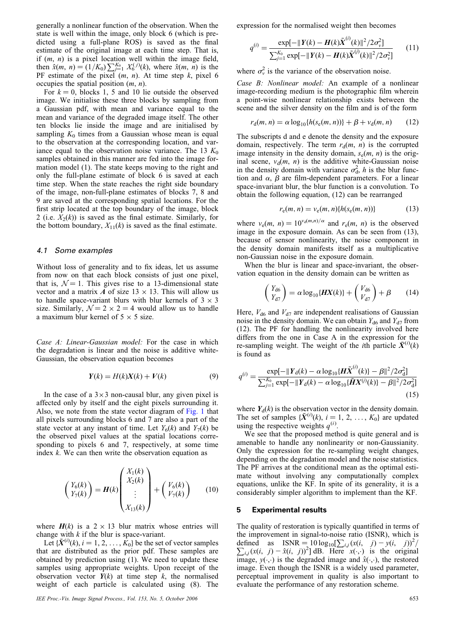generally a nonlinear function of the observation. When the state is well within the image, only block 6 (which is predicted using a full-plane ROS) is saved as the final estimate of the original image at each time step. That is, if  $(m, n)$  is a pixel location well within the image field, then  $\hat{x}(m, n) = (1/K_0) \sum_{j=1}^{K_0} X_0^{(j)}(k)$ , where  $\hat{x}(m, n)$  is the PF estimate of the pixel  $(m, n)$ . At time step  $k$ , pixel 6 occupies the spatial position  $(m, n)$ .

For  $k = 0$ , blocks 1, 5 and 10 lie outside the observed image. We initialise these three blocks by sampling from a Gaussian pdf, with mean and variance equal to the mean and variance of the degraded image itself. The other ten blocks lie inside the image and are initialised by sampling  $K_0$  times from a Gaussian whose mean is equal to the observation at the corresponding location, and variance equal to the observation noise variance. The 13  $K_0$ samples obtained in this manner are fed into the image formation model (1). The state keeps moving to the right and only the full-plane estimate of block 6 is saved at each time step. When the state reaches the right side boundary of the image, non-full-plane estimates of blocks 7, 8 and 9 are saved at the corresponding spatial locations. For the first strip located at the top boundary of the image, block 2 (i.e.  $X_2(k)$ ) is saved as the final estimate. Similarly, for the bottom boundary,  $X_{11}(k)$  is saved as the final estimate.

#### 4.1 Some examples

Without loss of generality and to fix ideas, let us assume from now on that each block consists of just one pixel, that is,  $\mathcal{N} = 1$ . This gives rise to a 13-dimensional state vector and a matrix A of size  $13 \times 13$ . This will allow us to handle space-variant blurs with blur kernels of  $3 \times 3$ size. Similarly,  $\mathcal{N} = 2 \times 2 = 4$  would allow us to handle a maximum blur kernel of  $5 \times 5$  size.

Case A: Linear-Gaussian model: For the case in which the degradation is linear and the noise is additive white-Gaussian, the observation equation becomes

$$
Y(k) = H(k)X(k) + V(k)
$$
\n(9)

In the case of a  $3\times 3$  non-causal blur, any given pixel is affected only by itself and the eight pixels surrounding it. Also, we note from the state vector diagram of Fig. 1 that all pixels surrounding blocks 6 and 7 are also a part of the state vector at any instant of time. Let  $Y_6(k)$  and  $Y_7(k)$  be the observed pixel values at the spatial locations corresponding to pixels 6 and 7, respectively, at some time index  $k$ . We can then write the observation equation as

$$
\begin{pmatrix} Y_6(k) \\ Y_7(k) \end{pmatrix} = H(k) \begin{pmatrix} X_1(k) \\ X_2(k) \\ \vdots \\ X_{13}(k) \end{pmatrix} + \begin{pmatrix} V_6(k) \\ V_7(k) \end{pmatrix} \tag{10}
$$

where  $H(k)$  is a 2  $\times$  13 blur matrix whose entries will change with  $k$  if the blur is space-variant.

Let  $\{\tilde{X}^{(i)}(k), i = 1, 2, \ldots, \tilde{K}_0\}$  be the set of vector samples that are distributed as the prior pdf. These samples are obtained by prediction using (1). We need to update these samples using appropriate weights. Upon receipt of the observation vector  $Y(k)$  at time step k, the normalised weight of each particle is calculated using (8). The

IEE Proc.-Vis. Image Signal Process., Vol. 153, No. 5, October 2006 653

expression for the normalised weight then becomes

$$
q^{(i)} = \frac{\exp[-\|Y(k) - H(k)\tilde{X}^{(i)}(k)\|^2/2\sigma_v^2]}{\sum_{j=1}^{K_0} \exp[-\|Y(k) - H(k)\tilde{X}^{(j)}(k)\|^2/2\sigma_v^2]}
$$
(11)

where  $\sigma_v^2$  is the variance of the observation noise.

Case B: Nonlinear model: An example of a nonlinear image-recording medium is the photographic film wherein a point-wise nonlinear relationship exists between the scene and the silver density on the film and is of the form

$$
r_{d}(m, n) = \alpha \log_{10} \{ h(s_e(m, n)) \} + \beta + v_d(m, n) \tag{12}
$$

The subscripts d and e denote the density and the exposure domain, respectively. The term  $r_d(m, n)$  is the corrupted image intensity in the density domain,  $s_e(m, n)$  is the original scene,  $v_d(m, n)$  is the additive white-Gaussian noise in the density domain with variance  $\sigma_d^2$ , h is the blur function and  $\alpha$ ,  $\beta$  are film-dependent parameters. For a linear space-invariant blur, the blur function is a convolution. To obtain the following equation, (12) can be rearranged

$$
r_{e}(m, n) = v_{e}(m, n) \{h(s_{e}(m, n))\}
$$
 (13)

where  $v_e(m, n) = 10^{v_d(m,n)/\alpha}$  and  $r_e(m, n)$  is the observed image in the exposure domain. As can be seen from (13), because of sensor nonlinearity, the noise component in the density domain manifests itself as a multiplicative non-Gaussian noise in the exposure domain.

When the blur is linear and space-invariant, the observation equation in the density domain can be written as

$$
\begin{pmatrix} Y_{d6} \\ Y_{d7} \end{pmatrix} = \alpha \log_{10} \{ \mathbf{H} \mathbf{X}(k) \} + \begin{pmatrix} V_{d6} \\ V_{d7} \end{pmatrix} + \beta \tag{14}
$$

Here,  $V_{\rm d6}$  and  $V_{\rm d7}$  are independent realisations of Gaussian noise in the density domain. We can obtain  $Y_{d6}$  and  $Y_{d7}$  from (12). The PF for handling the nonlinearity involved here differs from the one in Case A in the expression for the re-sampling weight. The weight of the *i*th particle  $\tilde{X}^{(i)}(k)$ is found as

$$
q^{(i)} = \frac{\exp[-\|Y_{d}(k) - \alpha \log_{10}\{\boldsymbol{H}\tilde{\boldsymbol{X}}^{(i)}(k)\} - \beta\|^2 / 2\sigma_d^2]}{\sum_{j=1}^{K_0} \exp[-\|Y_{d}(k) - \alpha \log_{10}\{\tilde{\boldsymbol{H}}\boldsymbol{X}^{(j)}(k)\} - \beta\|^2 / 2\sigma_d^2]}
$$
(15)

where  $Y_d(k)$  is the observation vector in the density domain. The set of samples  $\{\tilde{X}^{(i)}(k), i = 1, 2, ..., K_0\}$  are updated using the respective weights  $q^{(i)}$ .

We see that the proposed method is quite general and is amenable to handle any nonlinearity or non-Gaussianity. Only the expression for the re-sampling weight changes, depending on the degradation model and the noise statistics. The PF arrives at the conditional mean as the optimal estimate without involving any computationally complex equations, unlike the KF. In spite of its generality, it is a considerably simpler algorithm to implement than the KF.

#### 5 Experimental results

The quality of restoration is typically quantified in terms of the improvement in signal-to-noise ratio (ISNR), which is defined as ISNR, which is spin-to-holder and (BPO, j) –  $y(t, j) = \frac{y(t, j)}{2}$ <br>defined as ISNR = 10 log<sub>10</sub>[ $\sum_{i,j} (x(i, j) - y(i, j))^2/2$ ]  $i_{i,j}(x(i, j) - \hat{x}(i, j))^{2}$  dB. Here  $x(\cdot, \cdot)$  is the original image,  $y(\cdot, \cdot)$  is the degraded image and  $\hat{x}(\cdot, \cdot)$ , the restored image. Even though the ISNR is a widely used parameter, perceptual improvement in quality is also important to evaluate the performance of any restoration scheme.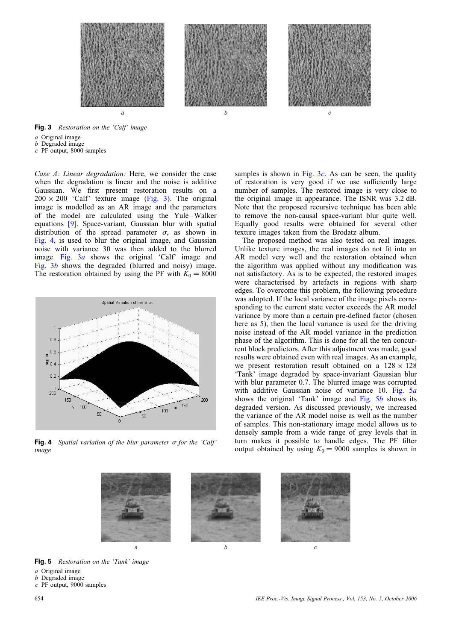

Fig. 3 Restoration on the 'Calf' image

a Original image

b Degraded image

 $c$  PF output, 8000 samples

Case A: Linear degradation: Here, we consider the case when the degradation is linear and the noise is additive Gaussian. We first present restoration results on a  $200 \times 200$  'Calf' texture image (Fig. 3). The original image is modelled as an AR image and the parameters of the model are calculated using the Yule –Walker equations [9]. Space-variant, Gaussian blur with spatial distribution of the spread parameter  $\sigma$ , as shown in Fig. 4, is used to blur the original image, and Gaussian noise with variance 30 was then added to the blurred image. Fig. 3a shows the original 'Calf' image and Fig. 3b shows the degraded (blurred and noisy) image. The restoration obtained by using the PF with  $K_0 = 8000$ 



Fig. 4 Spatial variation of the blur parameter  $\sigma$  for the 'Calf' image

samples is shown in Fig.  $3c$ . As can be seen, the quality of restoration is very good if we use sufficiently large number of samples. The restored image is very close to the original image in appearance. The ISNR was 3.2 dB. Note that the proposed recursive technique has been able to remove the non-causal space-variant blur quite well. Equally good results were obtained for several other texture images taken from the Brodatz album.

The proposed method was also tested on real images. Unlike texture images, the real images do not fit into an AR model very well and the restoration obtained when the algorithm was applied without any modification was not satisfactory. As is to be expected, the restored images were characterised by artefacts in regions with sharp edges. To overcome this problem, the following procedure was adopted. If the local variance of the image pixels corresponding to the current state vector exceeds the AR model variance by more than a certain pre-defined factor (chosen here as 5), then the local variance is used for the driving noise instead of the AR model variance in the prediction phase of the algorithm. This is done for all the ten concurrent block predictors. After this adjustment was made, good results were obtained even with real images. As an example, we present restoration result obtained on a  $128 \times 128$ 'Tank' image degraded by space-invariant Gaussian blur with blur parameter 0.7. The blurred image was corrupted with additive Gaussian noise of variance 10. Fig. 5a shows the original 'Tank' image and Fig.  $5b$  shows its degraded version. As discussed previously, we increased the variance of the AR model noise as well as the number of samples. This non-stationary image model allows us to densely sample from a wide range of grey levels that in turn makes it possible to handle edges. The PF filter output obtained by using  $K_0 = 9000$  samples is shown in



Fig. 5 Restoration on the 'Tank' image

a Original image

 $b$  Degraded image

c PF output, 9000 samples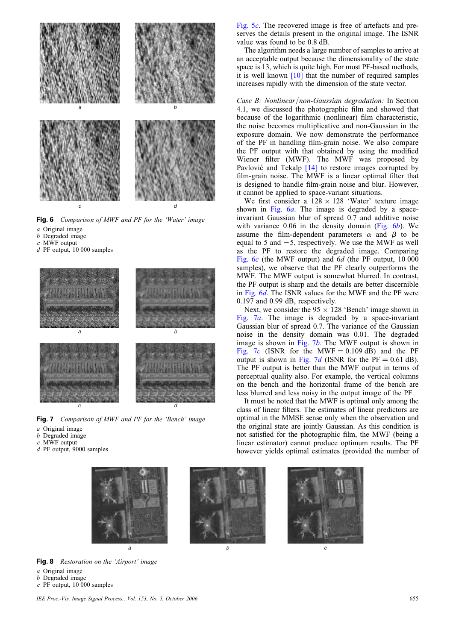

Fig. 6 Comparison of MWF and PF for the 'Water' image

- a Original image
- b Degraded image
- c MWF output
- d PF output, 10 000 samples



Fig. 7 Comparison of MWF and PF for the 'Bench' image

- a Original image
- b Degraded image
- $c$  MWF output
- d PF output, 9000 samples



Fig. 8 Restoration on the 'Airport' image

- a Original image
- b Degraded image
- $c$  PF output, 10 000 samples

Fig. 5c. The recovered image is free of artefacts and preserves the details present in the original image. The ISNR value was found to be 0.8 dB.

The algorithm needs a large number of samples to arrive at an acceptable output because the dimensionality of the state space is 13, which is quite high. For most PF-based methods, it is well known [10] that the number of required samples increases rapidly with the dimension of the state vector.

Case B: Nonlinear/non-Gaussian degradation: In Section 4.1, we discussed the photographic film and showed that because of the logarithmic (nonlinear) film characteristic, the noise becomes multiplicative and non-Gaussian in the exposure domain. We now demonstrate the performance of the PF in handling film-grain noise. We also compare the PF output with that obtained by using the modified Wiener filter (MWF). The MWF was proposed by Pavlović and Tekalp [14] to restore images corrupted by film-grain noise. The MWF is a linear optimal filter that is designed to handle film-grain noise and blur. However, it cannot be applied to space-variant situations.

We first consider a  $128 \times 128$  'Water' texture image shown in Fig. 6*a*. The image is degraded by a spaceinvariant Gaussian blur of spread 0.7 and additive noise with variance  $0.06$  in the density domain (Fig.  $6b$ ). We assume the film-dependent parameters  $\alpha$  and  $\beta$  to be equal to 5 and  $-5$ , respectively. We use the MWF as well as the PF to restore the degraded image. Comparing Fig. 6c (the MWF output) and 6d (the PF output, 10 000 samples), we observe that the PF clearly outperforms the MWF. The MWF output is somewhat blurred. In contrast, the PF output is sharp and the details are better discernible in Fig. 6d. The ISNR values for the MWF and the PF were 0.197 and 0.99 dB, respectively.

Next, we consider the  $95 \times 128$  'Bench' image shown in Fig.  $7a$ . The image is degraded by a space-invariant Gaussian blur of spread 0.7. The variance of the Gaussian noise in the density domain was 0.01. The degraded image is shown in Fig. 7b. The MWF output is shown in Fig. 7c (ISNR for the MWF =  $0.109$  dB) and the PF output is shown in Fig. 7d (ISNR for the PF = 0.61 dB). The PF output is better than the MWF output in terms of perceptual quality also. For example, the vertical columns on the bench and the horizontal frame of the bench are less blurred and less noisy in the output image of the PF.

It must be noted that the MWF is optimal only among the class of linear filters. The estimates of linear predictors are optimal in the MMSE sense only when the observation and the original state are jointly Gaussian. As this condition is not satisfied for the photographic film, the MWF (being a linear estimator) cannot produce optimum results. The PF however yields optimal estimates (provided the number of